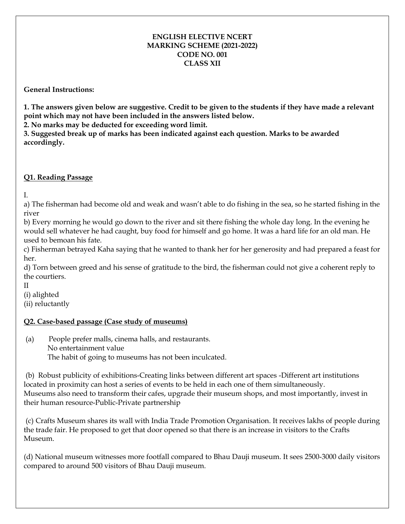#### **ENGLISH ELECTIVE NCERT MARKING SCHEME (2021-2022) CODE NO. 001 CLASS XII**

#### **General Instructions:**

**1. The answers given below are suggestive. Credit to be given to the students if they have made a relevant point which may not have been included in the answers listed below.**

**2. No marks may be deducted for exceeding word limit.**

**3. Suggested break up of marks has been indicated against each question. Marks to be awarded accordingly.**

# **Q1. Reading Passage**

I.

a) The fisherman had become old and weak and wasn't able to do fishing in the sea, so he started fishing in the river

b) Every morning he would go down to the river and sit there fishing the whole day long. In the evening he would sell whatever he had caught, buy food for himself and go home. It was a hard life for an old man. He used to bemoan his fate.

c) Fisherman betrayed Kaha saying that he wanted to thank her for her generosity and had prepared a feast for her.

d) Torn between greed and his sense of gratitude to the bird, the fisherman could not give a coherent reply to the courtiers.

II

(i) alighted

(ii) reluctantly

# **Q2. Case-based passage (Case study of museums)**

(a) People prefer malls, cinema halls, and restaurants. No entertainment value The habit of going to museums has not been inculcated.

(b) Robust publicity of exhibitions-Creating links between different art spaces -Different art institutions located in proximity can host a series of events to be held in each one of them simultaneously. Museums also need to transform their cafes, upgrade their museum shops, and most importantly, invest in their human resource-Public-Private partnership

(c) Crafts Museum shares its wall with India Trade Promotion Organisation. It receives lakhs of people during the trade fair. He proposed to get that door opened so that there is an increase in visitors to the Crafts Museum.

(d) National museum witnesses more footfall compared to Bhau Dauji museum. It sees 2500-3000 daily visitors compared to around 500 visitors of Bhau Dauji museum.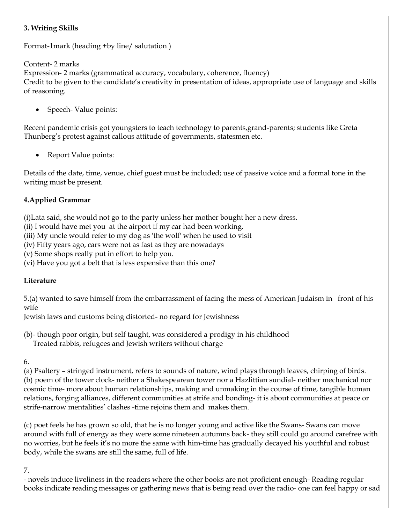# **3. Writing Skills**

Format-1mark (heading +by line/ salutation )

Content- 2 marks

Expression- 2 marks (grammatical accuracy, vocabulary, coherence, fluency) Credit to be given to the candidate's creativity in presentation of ideas, appropriate use of language and skills of reasoning.

Speech- Value points:

Recent pandemic crisis got youngsters to teach technology to parents,grand-parents; students like Greta Thunberg's protest against callous attitude of governments, statesmen etc.

Report Value points:

Details of the date, time, venue, chief guest must be included; use of passive voice and a formal tone in the writing must be present.

# **4.Applied Grammar**

(i)Lata said, she would not go to the party unless her mother bought her a new dress.

(ii) I would have met you at the airport if my car had been working.

(iii) My uncle would refer to my dog as 'the wolf' when he used to visit

(iv) Fifty years ago, cars were not as fast as they are nowadays

(v) Some shops really put in effort to help you.

(vi) Have you got a belt that is less expensive than this one?

# **Literature**

5.(a) wanted to save himself from the embarrassment of facing the mess of American Judaism in front of his wife

Jewish laws and customs being distorted- no regard for Jewishness

(b)- though poor origin, but self taught, was considered a prodigy in his childhood Treated rabbis, refugees and Jewish writers without charge

6.

(a) Psaltery – stringed instrument, refers to sounds of nature, wind plays through leaves, chirping of birds. (b) poem of the tower clock- neither a Shakespearean tower nor a Hazlittian sundial- neither mechanical nor cosmic time- more about human relationships, making and unmaking in the course of time, tangible human relations, forging alliances, different communities at strife and bonding- it is about communities at peace or strife-narrow mentalities' clashes -time rejoins them and makes them.

(c) poet feels he has grown so old, that he is no longer young and active like the Swans- Swans can move around with full of energy as they were some nineteen autumns back- they still could go around carefree with no worries, but he feels it's no more the same with him-time has gradually decayed his youthful and robust body, while the swans are still the same, full of life.

7.

- novels induce liveliness in the readers where the other books are not proficient enough- Reading regular books indicate reading messages or gathering news that is being read over the radio- one can feel happy or sad